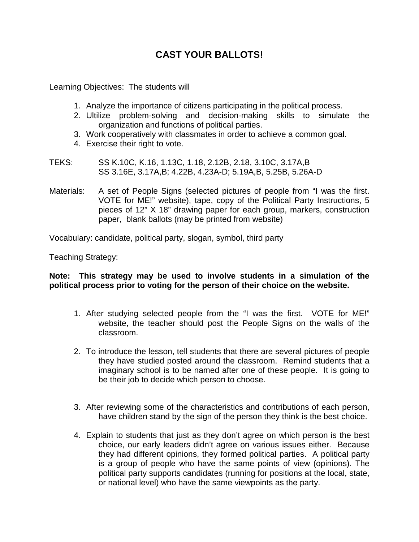## **CAST YOUR BALLOTS!**

Learning Objectives: The students will

- 1. Analyze the importance of citizens participating in the political process.
- 2. Ultilize problem-solving and decision-making skills to simulate the organization and functions of political parties.
- 3. Work cooperatively with classmates in order to achieve a common goal.
- 4. Exercise their right to vote.
- TEKS: SS K.10C, K.16, 1.13C, 1.18, 2.12B, 2.18, 3.10C, 3.17A,B SS 3.16E, 3.17A,B; 4.22B, 4.23A-D; 5.19A,B, 5.25B, 5.26A-D
- Materials: A set of People Signs (selected pictures of people from "I was the first. VOTE for ME!" website), tape, copy of the Political Party Instructions, 5 pieces of 12" X 18" drawing paper for each group, markers, construction paper, blank ballots (may be printed from website)

Vocabulary: candidate, political party, slogan, symbol, third party

Teaching Strategy:

**Note: This strategy may be used to involve students in a simulation of the political process prior to voting for the person of their choice on the website.**

- 1. After studying selected people from the "I was the first. VOTE for ME!" website, the teacher should post the People Signs on the walls of the classroom.
- 2. To introduce the lesson, tell students that there are several pictures of people they have studied posted around the classroom. Remind students that a imaginary school is to be named after one of these people. It is going to be their job to decide which person to choose.
- 3. After reviewing some of the characteristics and contributions of each person, have children stand by the sign of the person they think is the best choice.
- 4. Explain to students that just as they don't agree on which person is the best choice, our early leaders didn't agree on various issues either. Because they had different opinions, they formed political parties. A political party is a group of people who have the same points of view (opinions). The political party supports candidates (running for positions at the local, state, or national level) who have the same viewpoints as the party.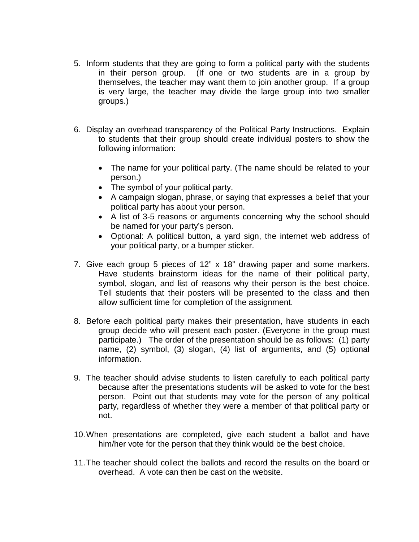- 5. Inform students that they are going to form a political party with the students in their person group. (If one or two students are in a group by themselves, the teacher may want them to join another group. If a group is very large, the teacher may divide the large group into two smaller groups.)
- 6. Display an overhead transparency of the Political Party Instructions. Explain to students that their group should create individual posters to show the following information:
	- The name for your political party. (The name should be related to your person.)
	- The symbol of your political party.
	- A campaign slogan, phrase, or saying that expresses a belief that your political party has about your person.
	- A list of 3-5 reasons or arguments concerning why the school should be named for your party's person.
	- Optional: A political button, a yard sign, the internet web address of your political party, or a bumper sticker.
- 7. Give each group 5 pieces of 12" x 18" drawing paper and some markers. Have students brainstorm ideas for the name of their political party, symbol, slogan, and list of reasons why their person is the best choice. Tell students that their posters will be presented to the class and then allow sufficient time for completion of the assignment.
- 8. Before each political party makes their presentation, have students in each group decide who will present each poster. (Everyone in the group must participate.) The order of the presentation should be as follows: (1) party name, (2) symbol, (3) slogan, (4) list of arguments, and (5) optional information.
- 9. The teacher should advise students to listen carefully to each political party because after the presentations students will be asked to vote for the best person. Point out that students may vote for the person of any political party, regardless of whether they were a member of that political party or not.
- 10.When presentations are completed, give each student a ballot and have him/her vote for the person that they think would be the best choice.
- 11.The teacher should collect the ballots and record the results on the board or overhead. A vote can then be cast on the website.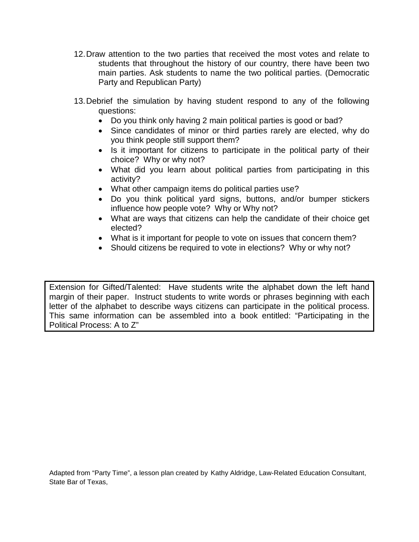- 12.Draw attention to the two parties that received the most votes and relate to students that throughout the history of our country, there have been two main parties. Ask students to name the two political parties. (Democratic Party and Republican Party)
- 13.Debrief the simulation by having student respond to any of the following questions:
	- Do you think only having 2 main political parties is good or bad?
	- Since candidates of minor or third parties rarely are elected, why do you think people still support them?
	- Is it important for citizens to participate in the political party of their choice? Why or why not?
	- What did you learn about political parties from participating in this activity?
	- What other campaign items do political parties use?
	- Do you think political yard signs, buttons, and/or bumper stickers influence how people vote? Why or Why not?
	- What are ways that citizens can help the candidate of their choice get elected?
	- What is it important for people to vote on issues that concern them?
	- Should citizens be required to vote in elections? Why or why not?

Extension for Gifted/Talented: Have students write the alphabet down the left hand margin of their paper. Instruct students to write words or phrases beginning with each letter of the alphabet to describe ways citizens can participate in the political process. This same information can be assembled into a book entitled: "Participating in the Political Process: A to Z"

Adapted from "Party Time", a lesson plan created by Kathy Aldridge, Law-Related Education Consultant, State Bar of Texas,